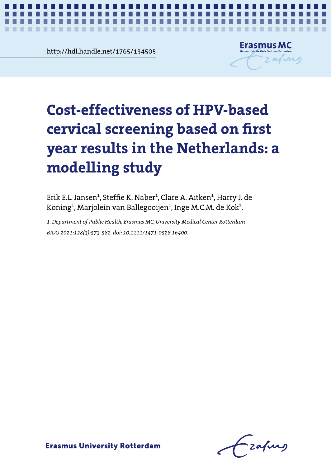**Chapter 2.22**<br> **Chapter 2.22**<br> **Chapter 2.22**<br> **Chapter 2.22**<br> **Chapter 2.22** http://hdl.handle.net/1765/134505

**COLOR**  $\mathcal{L}$ ×



*Cost-effectiveness of hrHPV-based screening* **1**

# **based on first year results in the Netherlands: a Cost-effectiveness of HPV-based modelling study cervical screening based on first year results in the Netherlands: a modelling study**

Erik E.L. Jansen<sup>1</sup>, Steffie K. Naber<sup>1</sup>, Clare A. Aitken<sup>1</sup>, Harry J. de Koning $^{\rm 1}$ , Marjolein van Ballegooijen $^{\rm 1}$ , Inge M.C.M. de Kok $^{\rm 1}$ .

*BJOG 2021;128(3):573-582. doi: 10.1111/1471-0528.16400. BJOG 2021;128(3):573-582. doi: 10.1111/1471-0528.16400.1. Department of Public Health, Erasmus MC, University Medical Center Rotterdam*

- zafurg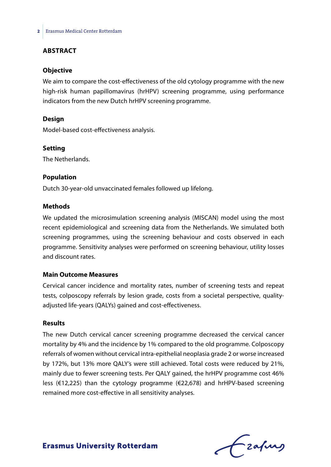### **ABSTRACT**

#### **Objective**

We aim to compare the cost-effectiveness of the old cytology programme with the new high-risk human papillomavirus (hrHPV) screening programme, using performance indicators from the new Dutch hrHPV screening programme.

#### **Design**

Model-based cost-effectiveness analysis.

#### **Setting**

The Netherlands.

#### **Population**

Dutch 30-year-old unvaccinated females followed up lifelong.

#### **Methods**

We updated the microsimulation screening analysis (MISCAN) model using the most recent epidemiological and screening data from the Netherlands. We simulated both screening programmes, using the screening behaviour and costs observed in each programme. Sensitivity analyses were performed on screening behaviour, utility losses and discount rates.

#### **Main Outcome Measures**

Cervical cancer incidence and mortality rates, number of screening tests and repeat tests, colposcopy referrals by lesion grade, costs from a societal perspective, qualityadjusted life-years (QALYs) gained and cost-effectiveness.

#### **Results**

The new Dutch cervical cancer screening programme decreased the cervical cancer mortality by 4% and the incidence by 1% compared to the old programme. Colposcopy referrals of women without cervical intra-epithelial neoplasia grade 2 or worse increased by 172%, but 13% more QALY's were still achieved. Total costs were reduced by 21%, mainly due to fewer screening tests. Per QALY gained, the hrHPV programme cost 46% less (€12,225) than the cytology programme (€22,678) and hrHPV-based screening remained more cost-effective in all sensitivity analyses.

Frahing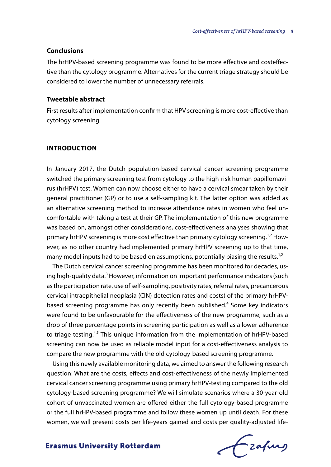#### **Conclusions**

The hrHPV-based screening programme was found to be more effective and costeffective than the cytology programme. Alternatives for the current triage strategy should be considered to lower the number of unnecessary referrals.

#### **Tweetable abstract**

First results after implementation confirm that HPV screening is more cost-effective than cytology screening*.*

#### **INTRODUCTION**

In January 2017, the Dutch population-based cervical cancer screening programme switched the primary screening test from cytology to the high-risk human papillomavirus (hrHPV) test. Women can now choose either to have a cervical smear taken by their general practitioner (GP) or to use a self-sampling kit. The latter option was added as an alternative screening method to increase attendance rates in women who feel uncomfortable with taking a test at their GP. The implementation of this new programme was based on, amongst other considerations, cost-effectiveness analyses showing that primary hrHPV screening is more cost effective than primary cytology screening.<sup>1,2</sup> However, as no other country had implemented primary hrHPV screening up to that time, many model inputs had to be based on assumptions, potentially biasing the results.<sup>1,2</sup>

The Dutch cervical cancer screening programme has been monitored for decades, using high-quality data.<sup>3</sup> However, information on important performance indicators (such as the participation rate, use of self-sampling, positivity rates, referral rates, precancerous cervical intraepithelial neoplasia (CIN) detection rates and costs) of the primary hrHPVbased screening programme has only recently been published.<sup>4</sup> Some key indicators were found to be unfavourable for the effectiveness of the new programme, such as a drop of three percentage points in screening participation as well as a lower adherence to triage testing.<sup>4,5</sup> This unique information from the implementation of hrHPV-based screening can now be used as reliable model input for a cost-effectiveness analysis to compare the new programme with the old cytology-based screening programme.

Using this newly available monitoring data, we aimed to answer the following research question: What are the costs, effects and cost-effectiveness of the newly implemented cervical cancer screening programme using primary hrHPV-testing compared to the old cytology-based screening programme? We will simulate scenarios where a 30-year-old cohort of unvaccinated women are offered either the full cytology-based programme or the full hrHPV-based programme and follow these women up until death. For these women, we will present costs per life-years gained and costs per quality-adjusted life-

frafing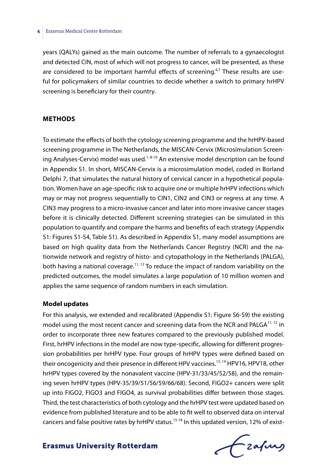years (QALYs) gained as the main outcome. The number of referrals to a gynaecologist and detected CIN, most of which will not progress to cancer, will be presented, as these are considered to be important harmful effects of screening. $67$  These results are useful for policymakers of similar countries to decide whether a switch to primary hrHPV screening is beneficiary for their country.

#### **METHODS**

To estimate the effects of both the cytology screening programme and the hrHPV-based screening programme in The Netherlands, the MISCAN-Cervix (Microsimulation Screening Analyses-Cervix) model was used.<sup>1,8-10</sup> An extensive model description can be found in Appendix S1. In short, MISCAN-Cervix is a microsimulation model, coded in Borland Delphi 7, that simulates the natural history of cervical cancer in a hypothetical population. Women have an age-specific risk to acquire one or multiple hrHPV infections which may or may not progress sequentially to CIN1, CIN2 and CIN3 or regress at any time. A CIN3 may progress to a micro-invasive cancer and later into more invasive cancer stages before it is clinically detected. Different screening strategies can be simulated in this population to quantify and compare the harms and benefits of each strategy (Appendix S1: Figures S1-S4, Table S1). As described in Appendix S1, many model assumptions are based on high quality data from the Netherlands Cancer Registry (NCR) and the nationwide network and registry of histo- and cytopathology in the Netherlands (PALGA), both having a national coverage.<sup>11, 12</sup> To reduce the impact of random variability on the predicted outcomes, the model simulates a large population of 10 million women and applies the same sequence of random numbers in each simulation.

#### **Model updates**

For this analysis, we extended and recalibrated (Appendix S1: Figure S6-S9) the existing model using the most recent cancer and screening data from the NCR and PALGA $^{11,12}$  in order to incorporate three new features compared to the previously published model. First, hrHPV infections in the model are now type-specific, allowing for different progression probabilities per hrHPV type. Four groups of hrHPV types were defined based on their oncogenicity and their presence in different HPV vaccines.<sup>13, 14</sup> HPV16, HPV18, other hrHPV types covered by the nonavalent vaccine (HPV-31/33/45/52/58), and the remaining seven hrHPV types (HPV-35/39/51/56/59/66/68). Second, FIGO2+ cancers were split up into FIGO2, FIGO3 and FIGO4, as survival probabilities differ between those stages. Third, the test characteristics of both cytology and the hrHPV test were updated based on evidence from published literature and to be able to fit well to observed data on interval cancers and false positive rates by hrHPV status.<sup>15-18</sup> In this updated version, 12% of exist-

Frahing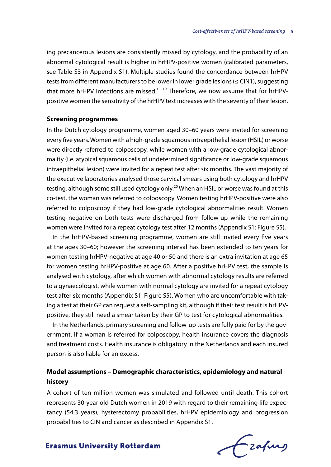ing precancerous lesions are consistently missed by cytology, and the probability of an abnormal cytological result is higher in hrHPV-positive women (calibrated parameters, see Table S3 in Appendix S1). Multiple studies found the concordance between hrHPV tests from different manufacturers to be lower in lower grade lesions (≤ CIN1), suggesting that more hrHPV infections are missed.<sup>15, 19</sup> Therefore, we now assume that for hrHPVpositive women the sensitivity of the hrHPV test increases with the severity of their lesion.

#### **Screening programmes**

In the Dutch cytology programme, women aged 30–60 years were invited for screening every five years. Women with a high-grade squamous intraepithelial lesion (HSIL) or worse were directly referred to colposcopy, while women with a low-grade cytological abnormality (i.e. atypical squamous cells of undetermined significance or low-grade squamous intraepithelial lesion) were invited for a repeat test after six months. The vast majority of the executive laboratories analysed those cervical smears using both cytology and hrHPV testing, although some still used cytology only.<sup>20</sup> When an HSIL or worse was found at this co-test, the woman was referred to colposcopy. Women testing hrHPV-positive were also referred to colposcopy if they had low-grade cytological abnormalities result. Women testing negative on both tests were discharged from follow-up while the remaining women were invited for a repeat cytology test after 12 months (Appendix S1: Figure S5).

In the hrHPV-based screening programme, women are still invited every five years at the ages 30–60; however the screening interval has been extended to ten years for women testing hrHPV-negative at age 40 or 50 and there is an extra invitation at age 65 for women testing hrHPV-positive at age 60. After a positive hrHPV test, the sample is analysed with cytology, after which women with abnormal cytology results are referred to a gynaecologist, while women with normal cytology are invited for a repeat cytology test after six months (Appendix S1: Figure S5). Women who are uncomfortable with taking a test at their GP can request a self-sampling kit, although if their test result is hrHPVpositive, they still need a smear taken by their GP to test for cytological abnormalities.

In the Netherlands, primary screening and follow-up tests are fully paid for by the government. If a woman is referred for colposcopy, health insurance covers the diagnosis and treatment costs. Health insurance is obligatory in the Netherlands and each insured person is also liable for an excess.

# **Model assumptions – Demographic characteristics, epidemiology and natural history**

A cohort of ten million women was simulated and followed until death. This cohort represents 30-year old Dutch women in 2019 with regard to their remaining life expectancy (54.3 years), hysterectomy probabilities, hrHPV epidemiology and progression probabilities to CIN and cancer as described in Appendix S1.

frafing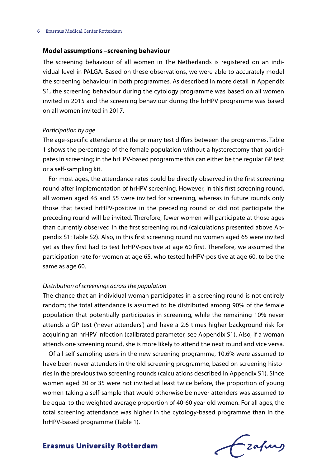#### **Model assumptions –screening behaviour**

The screening behaviour of all women in The Netherlands is registered on an individual level in PALGA. Based on these observations, we were able to accurately model the screening behaviour in both programmes. As described in more detail in Appendix S1, the screening behaviour during the cytology programme was based on all women invited in 2015 and the screening behaviour during the hrHPV programme was based on all women invited in 2017.

#### *Participation by age*

The age-specific attendance at the primary test differs between the programmes. Table 1 shows the percentage of the female population without a hysterectomy that participates in screening; in the hrHPV-based programme this can either be the regular GP test or a self-sampling kit.

For most ages, the attendance rates could be directly observed in the first screening round after implementation of hrHPV screening. However, in this first screening round, all women aged 45 and 55 were invited for screening, whereas in future rounds only those that tested hrHPV-positive in the preceding round or did not participate the preceding round will be invited. Therefore, fewer women will participate at those ages than currently observed in the first screening round (calculations presented above Appendix S1: Table S2). Also, in this first screening round no women aged 65 were invited yet as they first had to test hrHPV-positive at age 60 first. Therefore, we assumed the participation rate for women at age 65, who tested hrHPV-positive at age 60, to be the same as age 60.

#### *Distribution of screenings across the population*

The chance that an individual woman participates in a screening round is not entirely random; the total attendance is assumed to be distributed among 90% of the female population that potentially participates in screening, while the remaining 10% never attends a GP test ('never attenders') and have a 2.6 times higher background risk for acquiring an hrHPV infection (calibrated parameter, see Appendix S1). Also, if a woman attends one screening round, she is more likely to attend the next round and vice versa.

Of all self-sampling users in the new screening programme, 10.6% were assumed to have been never attenders in the old screening programme, based on screening histories in the previous two screening rounds (calculations described in Appendix S1). Since women aged 30 or 35 were not invited at least twice before, the proportion of young women taking a self-sample that would otherwise be never attenders was assumed to be equal to the weighted average proportion of 40-60 year old women. For all ages, the total screening attendance was higher in the cytology-based programme than in the hrHPV-based programme (Table 1).

Frahing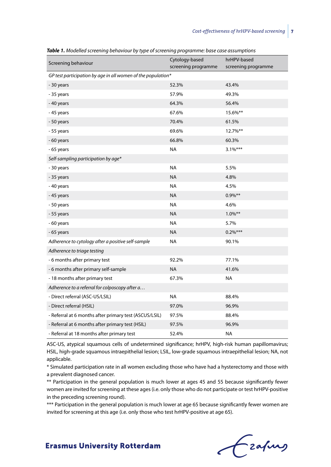| Screening behaviour                                          | Cytology-based<br>screening programme | hrHPV-based<br>screening programme |  |  |  |  |  |
|--------------------------------------------------------------|---------------------------------------|------------------------------------|--|--|--|--|--|
| GP test participation by age in all women of the population* |                                       |                                    |  |  |  |  |  |
| - 30 years                                                   | 52.3%                                 | 43.4%                              |  |  |  |  |  |
| - 35 years                                                   | 57.9%                                 | 49.3%                              |  |  |  |  |  |
| -40 years                                                    | 64.3%                                 | 56.4%                              |  |  |  |  |  |
| -45 years                                                    | 67.6%                                 | 15.6%**                            |  |  |  |  |  |
| - 50 years                                                   | 70.4%                                 | 61.5%                              |  |  |  |  |  |
| - 55 years                                                   | 69.6%                                 | 12.7%**                            |  |  |  |  |  |
| -60 years                                                    | 66.8%                                 | 60.3%                              |  |  |  |  |  |
| - 65 years                                                   | NA                                    | $3.1\%***$                         |  |  |  |  |  |
| Self-sampling participation by age*                          |                                       |                                    |  |  |  |  |  |
| - 30 years                                                   | <b>NA</b>                             | 5.5%                               |  |  |  |  |  |
| - 35 years                                                   | <b>NA</b>                             | 4.8%                               |  |  |  |  |  |
| - 40 years                                                   | <b>NA</b>                             | 4.5%                               |  |  |  |  |  |
| -45 years                                                    | <b>NA</b>                             | $0.9\%$ **                         |  |  |  |  |  |
| - 50 years                                                   | <b>NA</b>                             | 4.6%                               |  |  |  |  |  |
| - 55 years                                                   | <b>NA</b>                             | $1.0\%$ **                         |  |  |  |  |  |
| - 60 years                                                   | <b>NA</b>                             | 5.7%                               |  |  |  |  |  |
| -65 years                                                    | <b>NA</b>                             | $0.2\%***$                         |  |  |  |  |  |
| Adherence to cytology after a positive self-sample           | <b>NA</b>                             | 90.1%                              |  |  |  |  |  |
| Adherence to triage testing                                  |                                       |                                    |  |  |  |  |  |
| - 6 months after primary test                                | 92.2%                                 | 77.1%                              |  |  |  |  |  |
| - 6 months after primary self-sample                         | <b>NA</b>                             | 41.6%                              |  |  |  |  |  |
| -18 months after primary test                                | 67.3%                                 | <b>NA</b>                          |  |  |  |  |  |
| Adherence to a referral for colposcopy after a               |                                       |                                    |  |  |  |  |  |
| - Direct referral (ASC-US/LSIL)                              | <b>NA</b>                             | 88.4%                              |  |  |  |  |  |
| - Direct referral (HSIL)                                     | 97.0%                                 | 96.9%                              |  |  |  |  |  |
| - Referral at 6 months after primary test (ASCUS/LSIL)       | 97.5%                                 | 88.4%                              |  |  |  |  |  |
| - Referral at 6 months after primary test (HSIL)             | 97.5%                                 | 96.9%                              |  |  |  |  |  |
| - Referral at 18 months after primary test                   | 52.4%                                 | <b>NA</b>                          |  |  |  |  |  |

*Table 1. Modelled screening behaviour by type of screening programme: base case assumptions*

ASC-US, atypical squamous cells of undetermined significance; hrHPV, high-risk human papillomavirus; HSIL, high-grade squamous intraepithelial lesion; LSIL, low-grade squamous intraepithelial lesion; NA, not applicable.

\* Simulated participation rate in all women excluding those who have had a hysterectomy and those with a prevalent diagnosed cancer.

\*\* Participation in the general population is much lower at ages 45 and 55 because significantly fewer women are invited for screening at these ages (i.e. only those who do not participate or test hrHPV-positive in the preceding screening round).

\*\*\* Participation in the general population is much lower at age 65 because significantly fewer women are invited for screening at this age (i.e. only those who test hrHPV-positive at age 65).

Frahing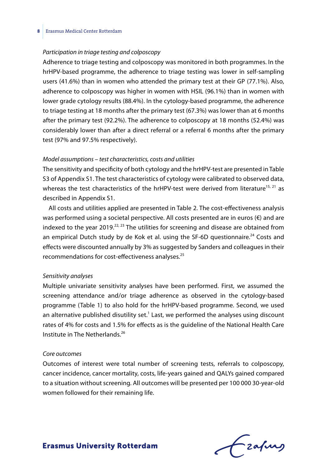#### *Participation in triage testing and colposcopy*

Adherence to triage testing and colposcopy was monitored in both programmes. In the hrHPV-based programme, the adherence to triage testing was lower in self-sampling users (41.6%) than in women who attended the primary test at their GP (77.1%). Also, adherence to colposcopy was higher in women with HSIL (96.1%) than in women with lower grade cytology results (88.4%). In the cytology-based programme, the adherence to triage testing at 18 months after the primary test (67.3%) was lower than at 6 months after the primary test (92.2%). The adherence to colposcopy at 18 months (52.4%) was considerably lower than after a direct referral or a referral 6 months after the primary test (97% and 97.5% respectively).

#### *Model assumptions – test characteristics, costs and utilities*

The sensitivity and specificity of both cytology and the hrHPV-test are presented in Table S3 of Appendix S1. The test characteristics of cytology were calibrated to observed data, whereas the test characteristics of the hrHPV-test were derived from literature<sup>15, 21</sup> as described in Appendix S1.

All costs and utilities applied are presented in Table 2. The cost-effectiveness analysis was performed using a societal perspective. All costs presented are in euros (€) and are indexed to the year 2019.<sup>22, 23</sup> The utilities for screening and disease are obtained from an empirical Dutch study by de Kok et al. using the SF-6D questionnaire.<sup>24</sup> Costs and effects were discounted annually by 3% as suggested by Sanders and colleagues in their recommendations for cost-effectiveness analyses.<sup>25</sup>

#### *Sensitivity analyses*

Multiple univariate sensitivity analyses have been performed. First, we assumed the screening attendance and/or triage adherence as observed in the cytology-based programme (Table 1) to also hold for the hrHPV-based programme. Second, we used an alternative published disutility set.<sup>1</sup> Last, we performed the analyses using discount rates of 4% for costs and 1.5% for effects as is the guideline of the National Health Care Institute in The Netherlands.<sup>26</sup>

#### *Core outcomes*

Outcomes of interest were total number of screening tests, referrals to colposcopy, cancer incidence, cancer mortality, costs, life-years gained and QALYs gained compared to a situation without screening. All outcomes will be presented per 100 000 30-year-old women followed for their remaining life.

Lzafung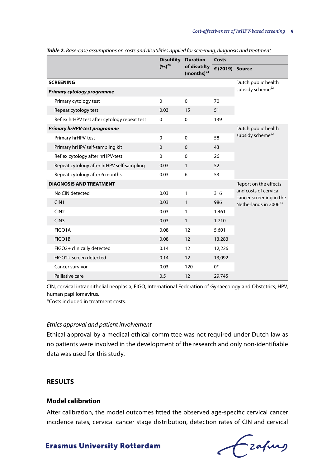|                                              |          | <b>Disutility</b><br><b>Duration</b><br>$(9/6)^{24}$<br>of disutilty<br>$(months)^{24}$ | Costs           |                                                                                       |  |  |
|----------------------------------------------|----------|-----------------------------------------------------------------------------------------|-----------------|---------------------------------------------------------------------------------------|--|--|
|                                              |          |                                                                                         | € (2019) Source |                                                                                       |  |  |
| <b>SCREENING</b>                             |          |                                                                                         |                 | Dutch public health                                                                   |  |  |
| Primary cytology programme                   |          |                                                                                         |                 | subsidy scheme <sup>22</sup>                                                          |  |  |
| Primary cytology test                        | $\Omega$ | $\Omega$                                                                                | 70              |                                                                                       |  |  |
| Repeat cytology test                         | 0.03     | 15                                                                                      | 51              |                                                                                       |  |  |
| Reflex hrHPV test after cytology repeat test | $\Omega$ | $\Omega$                                                                                | 139             |                                                                                       |  |  |
| <b>Primary hrHPV-test programme</b>          |          |                                                                                         |                 | Dutch public health                                                                   |  |  |
| Primary hrHPV-test                           | $\Omega$ | $\Omega$                                                                                | 58              | subsidy scheme <sup>22</sup>                                                          |  |  |
| Primary hrHPV self-sampling kit              | $\Omega$ | $\mathbf 0$                                                                             | 43              |                                                                                       |  |  |
| Reflex cytology after hrHPV-test             | $\Omega$ | $\mathbf 0$                                                                             | 26              |                                                                                       |  |  |
| Repeat cytology after hrHPV self-sampling    | 0.03     | $\mathbf{1}$                                                                            | 52              |                                                                                       |  |  |
| Repeat cytology after 6 months               | 0.03     | 6                                                                                       | 53              |                                                                                       |  |  |
| <b>DIAGNOSIS AND TREATMENT</b>               |          |                                                                                         |                 | Report on the effects                                                                 |  |  |
| No CIN detected                              | 0.03     | 1                                                                                       | 316             | and costs of cervical<br>cancer screening in the<br>Netherlands in 2006 <sup>23</sup> |  |  |
| CIN1                                         | 0.03     | $\mathbf{1}$                                                                            | 986             |                                                                                       |  |  |
| CIN2                                         | 0.03     | 1                                                                                       | 1,461           |                                                                                       |  |  |
| CIN <sub>3</sub>                             | 0.03     | $\mathbf{1}$                                                                            | 1,710           |                                                                                       |  |  |
| FIGO1A                                       | 0.08     | 12                                                                                      | 5,601           |                                                                                       |  |  |
| FIGO1B                                       | 0.08     | 12                                                                                      | 13,283          |                                                                                       |  |  |
| FIGO2+ clinically detected                   | 0.14     | 12                                                                                      | 12,226          |                                                                                       |  |  |
| FIGO2+ screen detected                       | 0.14     | 12                                                                                      | 13,092          |                                                                                       |  |  |
| Cancer survivor                              | 0.03     | 120                                                                                     | $0^*$           |                                                                                       |  |  |
| Palliative care                              | 0.5      | 12                                                                                      | 29,745          |                                                                                       |  |  |

*Table 2. Base-case assumptions on costs and disutilities applied for screening, diagnosis and treatment*

CIN, cervical intraepithelial neoplasia; FIGO, International Federation of Gynaecology and Obstetrics; HPV, human papillomavirus.

\*Costs included in treatment costs.

#### *Ethics approval and patient involvement*

Ethical approval by a medical ethical committee was not required under Dutch law as no patients were involved in the development of the research and only non-identifiable data was used for this study.

#### **RESULTS**

#### **Model calibration**

After calibration, the model outcomes fitted the observed age-specific cervical cancer incidence rates, cervical cancer stage distribution, detection rates of CIN and cervical

Czafung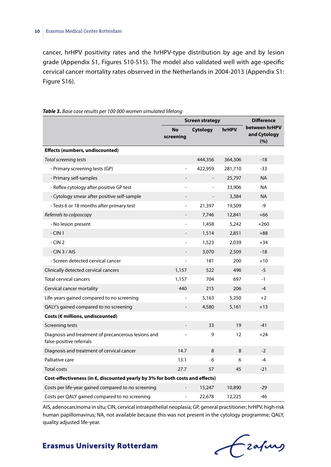cancer, hrHPV positivity rates and the hrHPV-type distribution by age and by lesion grade (Appendix S1, Figures S10-S15). The model also validated well with age-specific cervical cancer mortality rates observed in the Netherlands in 2004-2013 (Appendix S1: Figure S16).

|                                                                                 | <b>Screen strategy</b>   |         |         | <b>Difference</b>                    |  |  |  |  |
|---------------------------------------------------------------------------------|--------------------------|---------|---------|--------------------------------------|--|--|--|--|
|                                                                                 | <b>No</b><br>screening   |         | hrHPV   | between hrHPV<br>and Cytology<br>(%) |  |  |  |  |
| Effects (numbers, undiscounted)                                                 |                          |         |         |                                      |  |  |  |  |
| Total screening tests                                                           |                          | 444,356 | 364,306 | $-18$                                |  |  |  |  |
| - Primary screening tests (GP)                                                  | $\blacksquare$           | 422,959 | 281,710 | -33                                  |  |  |  |  |
| - Primary self-samples                                                          |                          |         | 25,797  | <b>NA</b>                            |  |  |  |  |
| - Reflex cytology after positive GP test                                        |                          | ÷,      | 33,906  | <b>NA</b>                            |  |  |  |  |
| - Cytology smear after positive self-sample                                     |                          |         | 3,384   | <b>NA</b>                            |  |  |  |  |
| - Tests 6 or 18 months after primary test                                       | $\blacksquare$           | 21,397  | 19,509  | -9                                   |  |  |  |  |
| Referrals to colposcopy                                                         | $\overline{\phantom{a}}$ | 7,746   | 12,841  | $+66$                                |  |  |  |  |
| - No lesion present                                                             |                          | 1,458   | 5,242   | $+260$                               |  |  |  |  |
| $- CIN 1$                                                                       |                          | 1,514   | 2,851   | $+88$                                |  |  |  |  |
| $- CIN 2$                                                                       |                          | 1,523   | 2,039   | $+34$                                |  |  |  |  |
| $-CIN 3 / AIS$                                                                  |                          | 3,070   | 2,509   | $-18$                                |  |  |  |  |
| - Screen detected cervical cancer                                               | $\bar{a}$                | 181     | 200     | $+10$                                |  |  |  |  |
| Clinically detected cervical cancers                                            | 1,157                    | 522     | 496     | $-5$                                 |  |  |  |  |
| <b>Total cervical cancers</b>                                                   | 1,157                    | 704     | 697     | $-1$                                 |  |  |  |  |
| Cervical cancer mortality                                                       | 440                      | 215     | 206     | $-4$                                 |  |  |  |  |
| Life-years gained compared to no screening                                      |                          | 5,163   | 5,250   | $+2$                                 |  |  |  |  |
| QALY's gained compared to no screening                                          |                          | 4,580   | 5,161   | $+13$                                |  |  |  |  |
| Costs (€ millions, undiscounted)                                                |                          |         |         |                                      |  |  |  |  |
| Screening tests                                                                 |                          | 33      | 19      | $-41$                                |  |  |  |  |
| Diagnosis and treatment of precancerous lesions and<br>false-positive referrals |                          | 9       | 12      | $+24$                                |  |  |  |  |
| Diagnosis and treatment of cervical cancer                                      | 14.7                     | 8       | 8       | $-2$                                 |  |  |  |  |
| Palliative care                                                                 | 13.1                     | 6       | 6       | $-4$                                 |  |  |  |  |
| <b>Total costs</b>                                                              | 27.7                     | 57      | 45      | $-21$                                |  |  |  |  |
| Cost-effectiveness (in €, discounted yearly by 3% for both costs and effects)   |                          |         |         |                                      |  |  |  |  |
| Costs per life-year gained compared to no screening                             |                          | 15,247  | 10,890  | $-29$                                |  |  |  |  |
| Costs per QALY gained compared to no screening                                  |                          | 22,678  | 12,225  | -46                                  |  |  |  |  |

#### *Table 3. Base case results per 100 000 women simulated lifelong*

AIS, adenocarcinoma in situ; CIN, cervical intraepithelial neoplasia; GP, general practitioner; hrHPV, high-risk human papillomavirus; NA, not available because this was not present in the cytology programme; QALY, quality adjusted life-year.

Fraping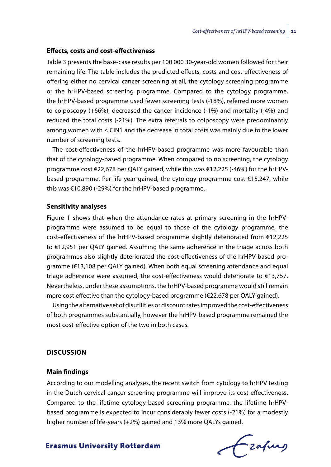#### **Effects, costs and cost-effectiveness**

Table 3 presents the base-case results per 100 000 30-year-old women followed for their remaining life. The table includes the predicted effects, costs and cost-effectiveness of offering either no cervical cancer screening at all, the cytology screening programme or the hrHPV-based screening programme. Compared to the cytology programme, the hrHPV-based programme used fewer screening tests (-18%), referred more women to colposcopy (+66%), decreased the cancer incidence (-1%) and mortality (-4%) and reduced the total costs (-21%). The extra referrals to colposcopy were predominantly among women with ≤ CIN1 and the decrease in total costs was mainly due to the lower number of screening tests.

The cost-effectiveness of the hrHPV-based programme was more favourable than that of the cytology-based programme. When compared to no screening, the cytology programme cost €22,678 per QALY gained, while this was €12,225 (-46%) for the hrHPVbased programme. Per life-year gained, the cytology programme cost €15,247, while this was €10,890 (-29%) for the hrHPV-based programme.

#### **Sensitivity analyses**

Figure 1 shows that when the attendance rates at primary screening in the hrHPVprogramme were assumed to be equal to those of the cytology programme, the cost-effectiveness of the hrHPV-based programme slightly deteriorated from €12,225 to €12,951 per QALY gained. Assuming the same adherence in the triage across both programmes also slightly deteriorated the cost-effectiveness of the hrHPV-based programme (€13,108 per QALY gained). When both equal screening attendance and equal triage adherence were assumed, the cost-effectiveness would deteriorate to €13,757. Nevertheless, under these assumptions, the hrHPV-based programme would still remain more cost effective than the cytology-based programme (€22,678 per QALY gained).

Using the alternative set of disutilities or discount rates improved the cost-effectiveness of both programmes substantially, however the hrHPV-based programme remained the most cost-effective option of the two in both cases.

#### **DISCUSSION**

#### **Main findings**

According to our modelling analyses, the recent switch from cytology to hrHPV testing in the Dutch cervical cancer screening programme will improve its cost-effectiveness. Compared to the lifetime cytology-based screening programme, the lifetime hrHPVbased programme is expected to incur considerably fewer costs (-21%) for a modestly higher number of life-years (+2%) gained and 13% more QALYs gained.

frafing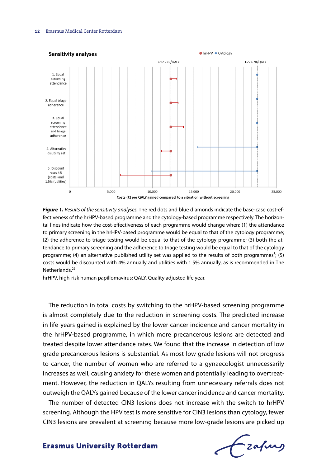

*Figure 1. Results of the sensitivity analyses.* The red dots and blue diamonds indicate the base-case cost-effectiveness of the hrHPV-based programme and the cytology-based programme respectively. The horizontal lines indicate how the cost-effectiveness of each programme would change when: (1) the attendance to primary screening in the hrHPV-based programme would be equal to that of the cytology programme; (2) the adherence to triage testing would be equal to that of the cytology programme; (3) both the attendance to primary screening and the adherence to triage testing would be equal to that of the cytology programme; (4) an alternative published utility set was applied to the results of both programmes<sup>1</sup>; (5) costs would be discounted with 4% annually and utilities with 1.5% annually, as is recommended in The Netherlands.<sup>26</sup>

hrHPV, high-risk human papillomavirus; QALY, Quality adjusted life year.

The reduction in total costs by switching to the hrHPV-based screening programme is almost completely due to the reduction in screening costs. The predicted increase in life-years gained is explained by the lower cancer incidence and cancer mortality in the hrHPV-based programme, in which more precancerous lesions are detected and treated despite lower attendance rates. We found that the increase in detection of low grade precancerous lesions is substantial. As most low grade lesions will not progress to cancer, the number of women who are referred to a gynaecologist unnecessarily increases as well, causing anxiety for these women and potentially leading to overtreatment. However, the reduction in QALYs resulting from unnecessary referrals does not outweigh the QALYs gained because of the lower cancer incidence and cancer mortality.

The number of detected CIN3 lesions does not increase with the switch to hrHPV screening. Although the HPV test is more sensitive for CIN3 lesions than cytology, fewer CIN3 lesions are prevalent at screening because more low-grade lesions are picked up

Frafing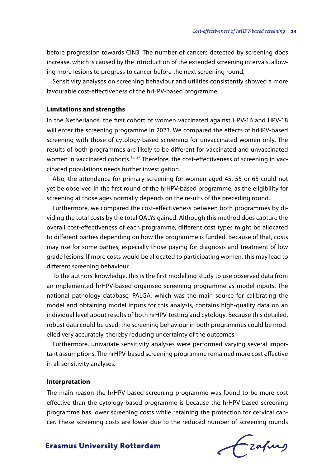before progression towards CIN3. The number of cancers detected by screening does increase, which is caused by the introduction of the extended screening intervals, allowing more lesions to progress to cancer before the next screening round.

Sensitivity analyses on screening behaviour and utilities consistently showed a more favourable cost-effectiveness of the hrHPV-based programme.

#### **Limitations and strengths**

In the Netherlands, the first cohort of women vaccinated against HPV-16 and HPV-18 will enter the screening programme in 2023. We compared the effects of hrHPV-based screening with those of cytology-based screening for unvaccinated women only. The results of both programmes are likely to be different for vaccinated and unvaccinated women in vaccinated cohorts.<sup>10, 27</sup> Therefore, the cost-effectiveness of screening in vaccinated populations needs further investigation.

Also, the attendance for primary screening for women aged 45, 55 or 65 could not yet be observed in the first round of the hrHPV-based programme, as the eligibility for screening at those ages normally depends on the results of the preceding round.

Furthermore, we compared the cost-effectiveness between both programmes by dividing the total costs by the total QALYs gained. Although this method does capture the overall cost-effectiveness of each programme, different cost types might be allocated to different parties depending on how the programme is funded. Because of that, costs may rise for some parties, especially those paying for diagnosis and treatment of low grade lesions. If more costs would be allocated to participating women, this may lead to different screening behaviour.

To the authors' knowledge, this is the first modelling study to use observed data from an implemented hrHPV-based organised screening programme as model inputs. The national pathology database, PALGA, which was the main source for calibrating the model and obtaining model inputs for this analysis, contains high-quality data on an individual level about results of both hrHPV-testing and cytology. Because this detailed, robust data could be used, the screening behaviour in both programmes could be modelled very accurately, thereby reducing uncertainty of the outcomes.

Furthermore, univariate sensitivity analyses were performed varying several important assumptions. The hrHPV-based screening programme remained more cost effective in all sensitivity analyses.

#### **Interpretation**

The main reason the hrHPV-based screening programme was found to be more cost effective than the cytology-based programme is because the hrHPV-based screening programme has lower screening costs while retaining the protection for cervical cancer. These screening costs are lower due to the reduced number of screening rounds

frafing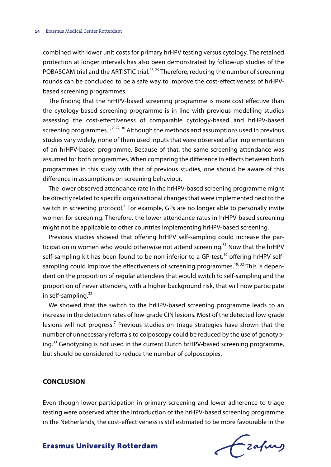combined with lower unit costs for primary hrHPV testing versus cytology. The retained protection at longer intervals has also been demonstrated by follow-up studies of the POBASCAM trial and the ARTISTIC trial.<sup>28, 29</sup> Therefore, reducing the number of screening rounds can be concluded to be a safe way to improve the cost-effectiveness of hrHPVbased screening programmes.

The finding that the hrHPV-based screening programme is more cost effective than the cytology-based screening programme is in line with previous modelling studies assessing the cost-effectiveness of comparable cytology-based and hrHPV-based screening programmes.<sup>1, 2, 27, 30</sup> Although the methods and assumptions used in previous studies vary widely, none of them used inputs that were observed after implementation of an hrHPV-based programme. Because of that, the same screening attendance was assumed for both programmes. When comparing the difference in effects between both programmes in this study with that of previous studies, one should be aware of this difference in assumptions on screening behaviour.

The lower observed attendance rate in the hrHPV-based screening programme might be directly related to specific organisational changes that were implemented next to the switch in screening protocol.<sup>4</sup> For example, GPs are no longer able to personally invite women for screening. Therefore, the lower attendance rates in hrHPV-based screening might not be applicable to other countries implementing hrHPV-based screening.

Previous studies showed that offering hrHPV self-sampling could increase the participation in women who would otherwise not attend screening.<sup>31</sup> Now that the hrHPV self-sampling kit has been found to be non-inferior to a GP-test,<sup>19</sup> offering hrHPV selfsampling could improve the effectiveness of screening programmes.<sup>19, 32</sup> This is dependent on the proportion of regular attendees that would switch to self-sampling and the proportion of never attenders, with a higher background risk, that will now participate in self-sampling.<sup>32</sup>

We showed that the switch to the hrHPV-based screening programme leads to an increase in the detection rates of low-grade CIN lesions. Most of the detected low-grade lesions will not progress.<sup>7</sup> Previous studies on triage strategies have shown that the number of unnecessary referrals to colposcopy could be reduced by the use of genotyping.<sup>33</sup> Genotyping is not used in the current Dutch hrHPV-based screening programme, but should be considered to reduce the number of colposcopies.

#### **CONCLUSION**

Even though lower participation in primary screening and lower adherence to triage testing were observed after the introduction of the hrHPV-based screening programme in the Netherlands, the cost-effectiveness is still estimated to be more favourable in the

Frahing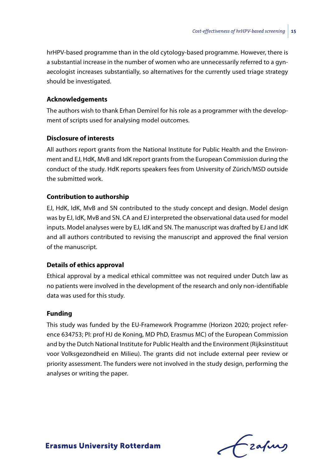hrHPV-based programme than in the old cytology-based programme. However, there is a substantial increase in the number of women who are unnecessarily referred to a gynaecologist increases substantially, so alternatives for the currently used triage strategy should be investigated.

## **Acknowledgements**

The authors wish to thank Erhan Demirel for his role as a programmer with the development of scripts used for analysing model outcomes.

#### **Disclosure of interests**

All authors report grants from the National Institute for Public Health and the Environment and EJ, HdK, MvB and IdK report grants from the European Commission during the conduct of the study. HdK reports speakers fees from University of Zürich/MSD outside the submitted work.

#### **Contribution to authorship**

EJ, HdK, IdK, MvB and SN contributed to the study concept and design. Model design was by EJ, IdK, MvB and SN. CA and EJ interpreted the observational data used for model inputs. Model analyses were by EJ, IdK and SN. The manuscript was drafted by EJ and IdK and all authors contributed to revising the manuscript and approved the final version of the manuscript.

## **Details of ethics approval**

Ethical approval by a medical ethical committee was not required under Dutch law as no patients were involved in the development of the research and only non-identifiable data was used for this study.

#### **Funding**

This study was funded by the EU-Framework Programme (Horizon 2020; project reference 634753; PI: prof HJ de Koning, MD PhD, Erasmus MC) of the European Commission and by the Dutch National Institute for Public Health and the Environment (Rijksinstituut voor Volksgezondheid en Milieu). The grants did not include external peer review or priority assessment. The funders were not involved in the study design, performing the analyses or writing the paper.

frafing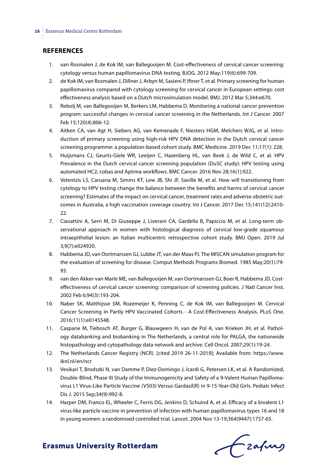#### **REFERENCES**

- 1. van Rosmalen J, de Kok IM, van Ballegooijen M. Cost-effectiveness of cervical cancer screening: cytology versus human papillomavirus DNA testing. BJOG. 2012 May;119(6):699-709.
- 2. de Kok IM, van Rosmalen J, Dillner J, Arbyn M, Sasieni P, Iftner T, et al. Primary screening for human papillomavirus compared with cytology screening for cervical cancer in European settings: cost effectiveness analysis based on a Dutch microsimulation model. BMJ. 2012 Mar 5;344:e670.
- 3. Rebolj M, van Ballegooijen M, Berkers LM, Habbema D. Monitoring a national cancer prevention program: successful changes in cervical cancer screening in the Netherlands. Int J Cancer. 2007 Feb 15;120(4):806-12.
- 4. Aitken CA, van Agt H, Siebers AG, van Kemenade F, Niesters HGM, Melchers WJG, et al. Introduction of primary screening using high-risk HPV DNA detection in the Dutch cervical cancer screening programme: a population-based cohort study. BMC Medicine. 2019 Dec 11;17(1): 228.
- 5. Huijsmans CJ, Geurts-Giele WR, Leeijen C, Hazenberg HL, van Beek J, de Wild C, et al. HPV Prevalence in the Dutch cervical cancer screening population (DuSC study): HPV testing using automated HC2, cobas and Aptima workflows. BMC Cancer. 2016 Nov 28;16(1):922.
- 6. Velentzis LS, Caruana M, Simms KT, Lew JB, Shi JF, Saville M, et al. How will transitioning from cytology to HPV testing change the balance between the benefits and harms of cervical cancer screening? Estimates of the impact on cervical cancer, treatment rates and adverse obstetric outcomes in Australia, a high vaccination coverage country. Int J Cancer. 2017 Dec 15;141(12):2410- 22.
- 7. Ciavattini A, Serri M, Di Giuseppe J, Liverani CA, Gardella B, Papiccio M, et al. Long-term observational approach in women with histological diagnosis of cervical low-grade squamous intraepithelial lesion: an Italian multicentric retrospective cohort study. BMJ Open. 2019 Jul 3;9(7):e024920.
- 8. Habbema JD, van Oortmarssen GJ, Lubbe JT, van der Maas PJ. The MISCAN simulation program for the evaluation of screening for disease. Comput Methods Programs Biomed. 1985 May;20(1):79- 93.
- 9. van den Akker-van Marle ME, van Ballegooijen M, van Oortmarssen GJ, Boer R, Habbema JD. Costeffectiveness of cervical cancer screening: comparison of screening policies. J Natl Cancer Inst. 2002 Feb 6;94(3):193-204.
- 10. Naber SK, Matthijsse SM, Rozemeijer K, Penning C, de Kok IM, van Ballegooijen M. Cervical Cancer Screening in Partly HPV Vaccinated Cohorts - A Cost-Effectiveness Analysis. PLoS One. 2016;11(1):e0145548.
- 11. Casparie M, Tiebosch AT, Burger G, Blauwgeers H, van de Pol A, van Krieken JH, et al. Pathology databanking and biobanking in The Netherlands, a central role for PALGA, the nationwide histopathology and cytopathology data network and archive. Cell Oncol. 2007;29(1):19-24.
- 12. The Netherlands Cancer Registry (NCR). [cited 2019 26-11-2019]; Available from: https://www. iknl.nl/en/ncr
- 13. Vesikari T, Brodszki N, van Damme P, Diez-Domingo J, Icardi G, Petersen LK, et al. A Randomized, Double-Blind, Phase III Study of the Immunogenicity and Safety of a 9-Valent Human Papillomavirus L1 Virus-Like Particle Vaccine (V503) Versus Gardasil(R) in 9-15-Year-Old Girls. Pediatr Infect Dis J. 2015 Sep;34(9):992-8.
- 14. Harper DM, Franco EL, Wheeler C, Ferris DG, Jenkins D, Schuind A, et al. Efficacy of a bivalent L1 virus-like particle vaccine in prevention of infection with human papillomavirus types 16 and 18 in young women: a randomised controlled trial. Lancet. 2004 Nov 13-19;364(9447):1757-65.

Czafing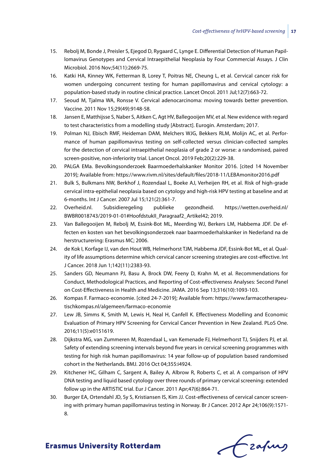- 15. Rebolj M, Bonde J, Preisler S, Ejegod D, Rygaard C, Lynge E. Differential Detection of Human Papillomavirus Genotypes and Cervical Intraepithelial Neoplasia by Four Commercial Assays. J Clin Microbiol. 2016 Nov;54(11):2669-75.
- 16. Katki HA, Kinney WK, Fetterman B, Lorey T, Poitras NE, Cheung L, et al. Cervical cancer risk for women undergoing concurrent testing for human papillomavirus and cervical cytology: a population-based study in routine clinical practice. Lancet Oncol. 2011 Jul;12(7):663-72.
- 17. Seoud M, Tjalma WA, Ronsse V. Cervical adenocarcinoma: moving towards better prevention. Vaccine. 2011 Nov 15;29(49):9148-58.
- 18. Jansen E, Matthijsse S, Naber S, Aitken C, Agt HV, Ballegooijen MV, et al. New evidence with regard to test characteristics from a modelling study [Abstract]. Eurogin. Amsterdam; 2017.
- 19. Polman NJ, Ebisch RMF, Heideman DAM, Melchers WJG, Bekkers RLM, Molijn AC, et al. Performance of human papillomavirus testing on self-collected versus clinician-collected samples for the detection of cervical intraepithelial neoplasia of grade 2 or worse: a randomised, paired screen-positive, non-inferiority trial. Lancet Oncol. 2019 Feb;20(2):229-38.
- 20. PALGA EMa. Bevolkingsonderzoek Baarmoederhalskanker Monitor 2016. [cited 14 November 2019]; Available from: https://www.rivm.nl/sites/default/files/2018-11/LEBAmonitor2016.pdf
- 21. Bulk S, Bulkmans NW, Berkhof J, Rozendaal L, Boeke AJ, Verheijen RH, et al. Risk of high-grade cervical intra-epithelial neoplasia based on cytology and high-risk HPV testing at baseline and at 6-months. Int J Cancer. 2007 Jul 15;121(2):361-7.
- 22. Overheid.nl. Subsidieregeling publieke gezondheid. https://wetten.overheid.nl/ BWBR0018743/2019-01-01#HoofdstukII\_Paragraaf2\_Artikel42; 2019.
- 23. Van Ballegooijen M, Rebolj M, Essink-Bot ML, Meerding WJ, Berkers LM, Habbema JDF. De effecten en kosten van het bevolkingsonderzoek naar baarmoederhalskanker in Nederland na de herstructurering: Erasmus MC; 2006.
- 24. de Kok I, Korfage IJ, van den Hout WB, Helmerhorst TJM, Habbema JDF, Essink-Bot ML, et al. Quality of life assumptions determine which cervical cancer screening strategies are cost-effective. Int J Cancer. 2018 Jun 1;142(11):2383-93.
- 25. Sanders GD, Neumann PJ, Basu A, Brock DW, Feeny D, Krahn M, et al. Recommendations for Conduct, Methodological Practices, and Reporting of Cost-effectiveness Analyses: Second Panel on Cost-Effectiveness in Health and Medicine. JAMA. 2016 Sep 13;316(10):1093-103.
- 26. Kompas F. Farmaco-economie. [cited 24-7-2019]; Available from: https://www.farmacotherapeutischkompas.nl/algemeen/farmaco-economie
- 27. Lew JB, Simms K, Smith M, Lewis H, Neal H, Canfell K. Effectiveness Modelling and Economic Evaluation of Primary HPV Screening for Cervical Cancer Prevention in New Zealand. PLoS One. 2016;11(5):e0151619.
- 28. Dijkstra MG, van Zummeren M, Rozendaal L, van Kemenade FJ, Helmerhorst TJ, Snijders PJ, et al. Safety of extending screening intervals beyond five years in cervical screening programmes with testing for high risk human papillomavirus: 14 year follow-up of population based randomised cohort in the Netherlands. BMJ. 2016 Oct 04;355:i4924.
- 29. Kitchener HC, Gilham C, Sargent A, Bailey A, Albrow R, Roberts C, et al. A comparison of HPV DNA testing and liquid based cytology over three rounds of primary cervical screening: extended follow up in the ARTISTIC trial. Eur J Cancer. 2011 Apr;47(6):864-71.
- 30. Burger EA, Ortendahl JD, Sy S, Kristiansen IS, Kim JJ. Cost-effectiveness of cervical cancer screening with primary human papillomavirus testing in Norway. Br J Cancer. 2012 Apr 24;106(9):1571- 8.

Czafing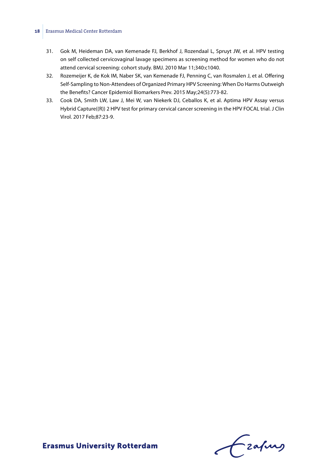#### **18** Erasmus Medical Center Rotterdam

- 31. Gok M, Heideman DA, van Kemenade FJ, Berkhof J, Rozendaal L, Spruyt JW, et al. HPV testing on self collected cervicovaginal lavage specimens as screening method for women who do not attend cervical screening: cohort study. BMJ. 2010 Mar 11;340:c1040.
- 32. Rozemeijer K, de Kok IM, Naber SK, van Kemenade FJ, Penning C, van Rosmalen J, et al. Offering Self-Sampling to Non-Attendees of Organized Primary HPV Screening: When Do Harms Outweigh the Benefits? Cancer Epidemiol Biomarkers Prev. 2015 May;24(5):773-82.
- 33. Cook DA, Smith LW, Law J, Mei W, van Niekerk DJ, Ceballos K, et al. Aptima HPV Assay versus Hybrid Capture((R)) 2 HPV test for primary cervical cancer screening in the HPV FOCAL trial. J Clin Virol. 2017 Feb;87:23-9.

Czahny